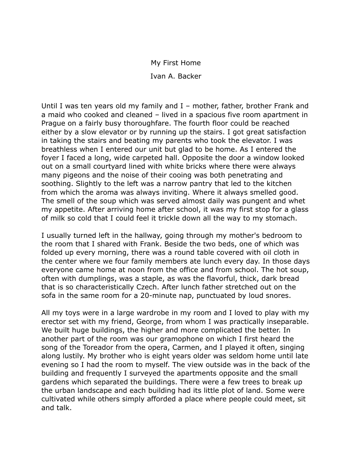## My First Home

Ivan A. Backer

Until I was ten years old my family and I – mother, father, brother Frank and a maid who cooked and cleaned – lived in a spacious five room apartment in Prague on a fairly busy thoroughfare. The fourth floor could be reached either by a slow elevator or by running up the stairs. I got great satisfaction in taking the stairs and beating my parents who took the elevator. I was breathless when I entered our unit but glad to be home. As I entered the foyer I faced a long, wide carpeted hall. Opposite the door a window looked out on a small courtyard lined with white bricks where there were always many pigeons and the noise of their cooing was both penetrating and soothing. Slightly to the left was a narrow pantry that led to the kitchen from which the aroma was always inviting. Where it always smelled good. The smell of the soup which was served almost daily was pungent and whet my appetite. After arriving home after school, it was my first stop for a glass of milk so cold that I could feel it trickle down all the way to my stomach.

I usually turned left in the hallway, going through my mother's bedroom to the room that I shared with Frank. Beside the two beds, one of which was folded up every morning, there was a round table covered with oil cloth in the center where we four family members ate lunch every day. In those days everyone came home at noon from the office and from school. The hot soup, often with dumplings, was a staple, as was the flavorful, thick, dark bread that is so characteristically Czech. After lunch father stretched out on the sofa in the same room for a 20-minute nap, punctuated by loud snores.

All my toys were in a large wardrobe in my room and I loved to play with my erector set with my friend, George, from whom I was practically inseparable. We built huge buildings, the higher and more complicated the better. In another part of the room was our gramophone on which I first heard the song of the Toreador from the opera, Carmen, and I played it often, singing along lustily. My brother who is eight years older was seldom home until late evening so I had the room to myself. The view outside was in the back of the building and frequently I surveyed the apartments opposite and the small gardens which separated the buildings. There were a few trees to break up the urban landscape and each building had its little plot of land. Some were cultivated while others simply afforded a place where people could meet, sit and talk.